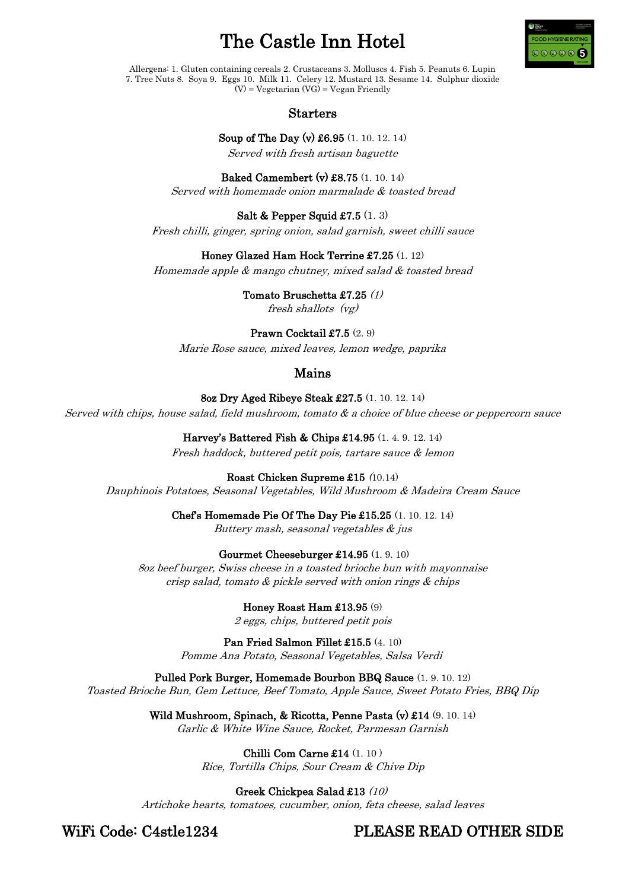# The Castle Inn Hotel



Allergens: 1. Gluten containing cereals 2. Crustaceans 3. Molluscs 4. Fish 5. Peanuts 6. Lupin 7. Tree Nuts 8. Soya 9. Eggs 10. Milk 11. Celery 12. Mustard 13. Sesame 14. Sulphur dioxide  $(V)$  = Vegetarian  $(VG)$  = Vegan Friendly

## Starters

Soup of The Day (v) £6.95 (1. 10. 12. 14) Served with fresh artisan baguette

Baked Camembert (v) £8.75 (1. 10. 14) Served with homemade onion marmalade & toasted bread

Salt & Pepper Squid £7.5 (1. 3) Fresh chilli, ginger, spring onion, salad garnish, sweet chilli sauce

Honey Glazed Ham Hock Terrine £7.25 (1. 12)

Homemade apple & mango chutney, mixed salad & toasted bread

Tomato Bruschetta £7.25 (1) fresh shallots (vg)

Prawn Cocktail £7.5 (2. 9) Marie Rose sauce, mixed leaves, lemon wedge, paprika

## Mains

8oz Dry Aged Ribeye Steak £27.5 (1. 10. 12. 14)

Served with chips, house salad, field mushroom, tomato & a choice of blue cheese or peppercorn sauce

Harvey's Battered Fish & Chips £14.95 (1. 4. 9. 12. 14) Fresh haddock, buttered petit pois, tartare sauce & lemon

Roast Chicken Supreme £15 (10.14) Dauphinois Potatoes, Seasonal Vegetables, Wild Mushroom & Madeira Cream Sauce

> Chef's Homemade Pie Of The Day Pie £15.25 (1. 10. 12. 14) Buttery mash, seasonal vegetables & jus

Gourmet Cheeseburger £14.95 (1. 9. 10)

8oz beef burger, Swiss cheese in a toasted brioche bun with mayonnaise crisp salad, tomato & pickle served with onion rings & chips

> Honey Roast Ham £13.95 (9) 2 eggs, chips, buttered petit pois

Pan Fried Salmon Fillet £15.5 (4. 10) Pomme Ana Potato, Seasonal Vegetables, Salsa Verdi

Pulled Pork Burger, Homemade Bourbon BBQ Sauce (1. 9. 10. 12) Toasted Brioche Bun, Gem Lettuce, Beef Tomato, Apple Sauce, Sweet Potato Fries, BBQ Dip

> Wild Mushroom, Spinach, & Ricotta, Penne Pasta (v) £14 (9. 10. 14) Garlic & White Wine Sauce, Rocket, Parmesan Garnish

> > Chilli Com Carne £14 (1. 10 ) Rice, Tortilla Chips, Sour Cream & Chive Dip

Greek Chickpea Salad £13 (10) Artichoke hearts, tomatoes, cucumber, onion, feta cheese, salad leaves

WiFi Code: C4stle1234 PLEASE READ OTHER SIDE